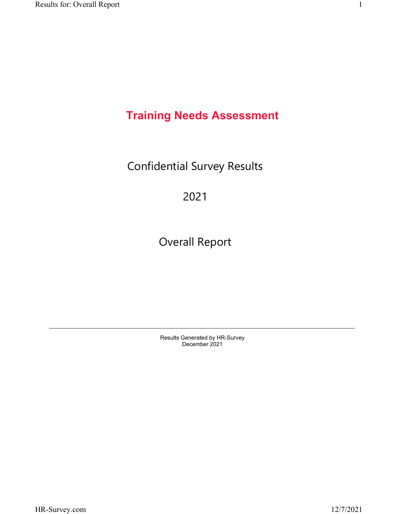# **Training Needs Assessment**

Confidential Survey Results

# 2021

Overall Report

Results Generated by HR-Survey December 2021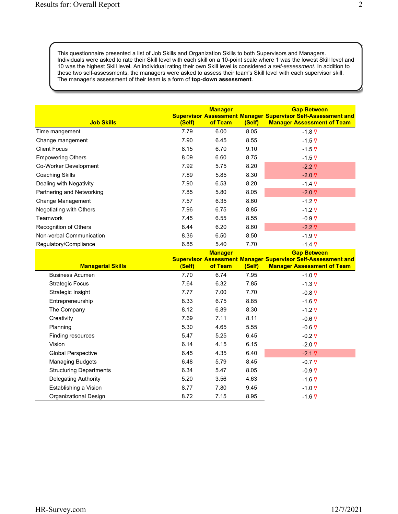This questionnaire presented a list of Job Skills and Organization Skills to both Supervisors and Managers. Individuals were asked to rate their Skill level with each skill on a 10-point scale where 1 was the lowest Skill level and 10 was the highest Skill level. An individual rating their own Skill level is considered a *self-assessment*. In addition to these two self-assessments, the managers were asked to assess their team's Skill level with each supervisor skill. The manager's assessment of their team is a form of **top-down assessment**.

| <b>Job Skills</b>         | (Self) | <b>Manager</b><br>of Team | (Self) | <b>Gap Between</b><br><b>Supervisor Assessment Manager Supervisor Self-Assessment and</b><br><b>Manager Assessment of Team</b> |
|---------------------------|--------|---------------------------|--------|--------------------------------------------------------------------------------------------------------------------------------|
| Time mangement            | 7.79   | 6.00                      | 8.05   | $-1.8 \nabla$                                                                                                                  |
| Change mangement          | 7.90   | 6.45                      | 8.55   | $-1.5 \nabla$                                                                                                                  |
| <b>Client Focus</b>       | 8.15   | 6.70                      | 9.10   | $-1.5 \nabla$                                                                                                                  |
| <b>Empowering Others</b>  | 8.09   | 6.60                      | 8.75   | $-1.5 \nabla$                                                                                                                  |
| Co-Worker Development     | 7.92   | 5.75                      | 8.20   | $-2.2 \nabla$                                                                                                                  |
| Coaching Skills           | 7.89   | 5.85                      | 8.30   | $-2.0 \nabla$                                                                                                                  |
| Dealing with Negativity   | 7.90   | 6.53                      | 8.20   | $-1.4 \nabla$                                                                                                                  |
| Partnering and Networking | 7.85   | 5.80                      | 8.05   | $-2.0\nabla$                                                                                                                   |
| Change Management         | 7.57   | 6.35                      | 8.60   | $-1.2 \nabla$                                                                                                                  |
| Negotiating with Others   | 7.96   | 6.75                      | 8.85   | $-1.2 \nabla$                                                                                                                  |
| Teamwork                  | 7.45   | 6.55                      | 8.55   | $-0.9 \nabla$                                                                                                                  |
| Recognition of Others     | 8.44   | 6.20                      | 8.60   | $-2.2 \nabla$                                                                                                                  |
| Non-verbal Communication  | 8.36   | 6.50                      | 8.50   | $-1.9 \nabla$                                                                                                                  |
| Regulatory/Compliance     | 6.85   | 5.40                      | 7.70   | $-1.4 \nabla$                                                                                                                  |

| <b>Managerial Skills</b>       | (Self) | <b>Manager</b><br>of Team | (Self) | <b>Gap Between</b><br><b>Supervisor Assessment Manager Supervisor Self-Assessment and</b><br><b>Manager Assessment of Team</b> |
|--------------------------------|--------|---------------------------|--------|--------------------------------------------------------------------------------------------------------------------------------|
| <b>Business Acumen</b>         | 7.70   | 6.74                      | 7.95   | $-1.0 \nabla$                                                                                                                  |
| <b>Strategic Focus</b>         | 7.64   | 6.32                      | 7.85   | $-1.3 \nabla$                                                                                                                  |
| Strategic Insight              | 7.77   | 7.00                      | 7.70   | $-0.8 \nabla$                                                                                                                  |
| Entrepreneurship               | 8.33   | 6.75                      | 8.85   | $-1.6 \nabla$                                                                                                                  |
| The Company                    | 8.12   | 6.89                      | 8.30   | $-1.2 \nabla$                                                                                                                  |
| Creativity                     | 7.69   | 7.11                      | 8.11   | $-0.6\nabla$                                                                                                                   |
| Planning                       | 5.30   | 4.65                      | 5.55   | $-0.6\nabla$                                                                                                                   |
| Finding resources              | 5.47   | 5.25                      | 6.45   | $-0.2 \nabla$                                                                                                                  |
| Vision                         | 6.14   | 4.15                      | 6.15   | $-2.0\nabla$                                                                                                                   |
| <b>Global Perspective</b>      | 6.45   | 4.35                      | 6.40   | $-2.1 \nabla$                                                                                                                  |
| <b>Managing Budgets</b>        | 6.48   | 5.79                      | 8.45   | $-0.7 \nabla$                                                                                                                  |
| <b>Structuring Departments</b> | 6.34   | 5.47                      | 8.05   | $-0.9 \nabla$                                                                                                                  |
| Delegating Authority           | 5.20   | 3.56                      | 4.63   | $-1.6 \nabla$                                                                                                                  |
| Establishing a Vision          | 8.77   | 7.80                      | 9.45   | $-1.0 \nabla$                                                                                                                  |
| Organizational Design          | 8.72   | 7.15                      | 8.95   | $-1.6 \nabla$                                                                                                                  |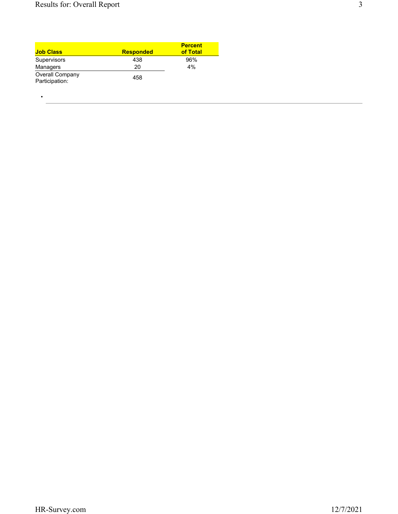•

| <b>Job Class</b>                         | <b>Responded</b> | <b>Percent</b><br>of Total |
|------------------------------------------|------------------|----------------------------|
| Supervisors                              | 438              | 96%                        |
| Managers                                 | 20               | 4%                         |
| <b>Overall Company</b><br>Participation: | 458              |                            |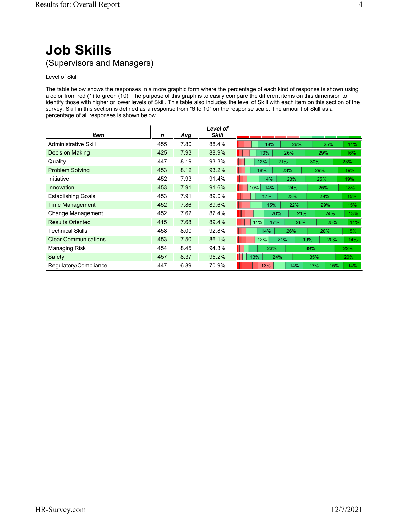# **Job Skills** (Supervisors and Managers)

# Level of Skill

The table below shows the responses in a more graphic form where the percentage of each kind of response is shown using a color from red (1) to green (10). The purpose of this graph is to easily compare the different items on this dimension to identify those with higher or lower levels of Skill. This table also includes the level of Skill with each item on this section of the survey. Skill in this section is defined as a response from "6 to 10" on the response scale. The amount of Skill as a percentage of all responses is shown below.

|                             |     |      | Level of     |                          |     |
|-----------------------------|-----|------|--------------|--------------------------|-----|
| ltem                        | n   | Avg  | <b>Skill</b> |                          |     |
| Administrative Skill        | 455 | 7.80 | 88.4%        | 18%<br>26%<br>25%        | 14% |
| <b>Decision Making</b>      | 425 | 7.93 | 88.9%        | 13%<br>26%<br>29%        | 16% |
| Quality                     | 447 | 8.19 | 93.3%        | 12%<br>21%<br>30%        | 23% |
| <b>Problem Solving</b>      | 453 | 8.12 | 93.2%        | 18%<br>23%<br>29%        | 19% |
| Initiative                  | 452 | 7.93 | 91.4%        | 23%<br>14%<br>25%        | 19% |
| Innovation                  | 453 | 7.91 | 91.6%        | 10%<br>14%<br>24%<br>25% | 18% |
| <b>Establishing Goals</b>   | 453 | 7.91 | 89.0%        | 17%<br>23%<br>29%        | 15% |
| <b>Time Management</b>      | 452 | 7.86 | 89.6%        | 15%<br>22%<br>29%        | 15% |
| Change Management           | 452 | 7.62 | 87.4%        | 20%<br>21%<br>24%        | 13% |
| <b>Results Oriented</b>     | 415 | 7.68 | 89.4%        | 11%<br>17%<br>26%<br>25% | 11% |
| Technical Skills            | 458 | 8.00 | 92.8%        | 14%<br>26%<br>28%        | 15% |
| <b>Clear Communications</b> | 453 | 7.50 | 86.1%        | 12%<br>21%<br>19%<br>20% | 14% |
| Managing Risk               | 454 | 8.45 | 94.3%        | 23%<br>39%               | 22% |
| Safety                      | 457 | 8.37 | 95.2%        | 13%<br>24%<br>35%        | 20% |
| Regulatory/Compliance       | 447 | 6.89 | 70.9%        | 13%<br>15%<br>14%<br>17% | 14% |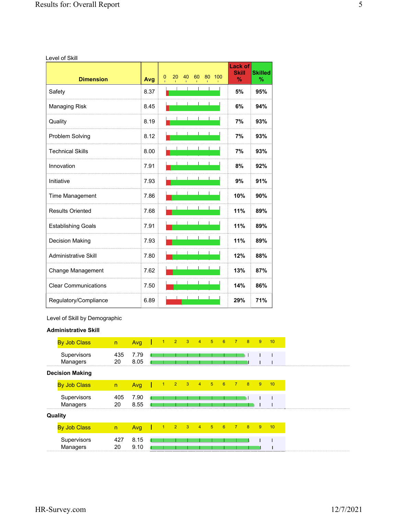Level of Skill

| <b>Dimension</b>            | Avg  | 20<br>40<br>60<br>80<br>100<br>0 | <b>Lack of</b><br><b>Skill</b><br>$\%$ | <b>Skilled</b><br>% |
|-----------------------------|------|----------------------------------|----------------------------------------|---------------------|
| Safety                      | 8.37 |                                  | 5%                                     | 95%                 |
| Managing Risk               | 8.45 |                                  | 6%                                     | 94%                 |
| Quality                     | 8.19 |                                  | 7%                                     | 93%                 |
| Problem Solving             | 8.12 |                                  | 7%                                     | 93%                 |
| <b>Technical Skills</b>     | 8.00 |                                  | 7%                                     | 93%                 |
| Innovation                  | 7.91 |                                  | 8%                                     | 92%                 |
| Initiative                  | 7.93 |                                  | 9%                                     | 91%                 |
| Time Management             | 7.86 |                                  | 10%                                    | 90%                 |
| <b>Results Oriented</b>     | 7.68 |                                  | 11%                                    | 89%                 |
| <b>Establishing Goals</b>   | 7.91 |                                  | 11%                                    | 89%                 |
| Decision Making             | 7.93 |                                  | 11%                                    | 89%                 |
| <b>Administrative Skill</b> | 7.80 |                                  | 12%                                    | 88%                 |
| Change Management           | 7.62 |                                  | 13%                                    | 87%                 |
| <b>Clear Communications</b> | 7.50 |                                  | 14%                                    | 86%                 |
| Regulatory/Compliance       | 6.89 |                                  | 29%                                    | 71%                 |

Level of Skill by Demographic

# **Administrative Skill**

| <b>By Job Class</b>     | n         | Avg          | $-1$      | $\blacksquare$ | $\overline{\mathbf{3}}$ | $\overline{4}$ | $-5$ | $-6$ | $\overline{7}$ | 8 | -9 | 10 |
|-------------------------|-----------|--------------|-----------|----------------|-------------------------|----------------|------|------|----------------|---|----|----|
| Supervisors<br>Managers | 435<br>20 | 7.79<br>8.05 |           |                |                         |                |      |      |                |   |    |    |
| <b>Decision Making</b>  |           |              |           |                |                         |                |      |      |                |   |    |    |
| <b>By Job Class</b>     | n         | Avg          |           | $2^{\circ}$    | 3 <sup>°</sup>          | $\overline{4}$ | -5   | 6    | $\overline{7}$ | 8 | -9 | 10 |
| Supervisors<br>Managers | 405<br>20 | 7.90<br>8.55 |           |                |                         |                |      |      |                |   |    |    |
| Quality                 |           |              |           |                |                         |                |      |      |                |   |    |    |
| <b>By Job Class</b>     | n         | Avg          | $\bullet$ | $2 \quad 3$    |                         | 4 <sup>2</sup> | $-5$ | 6    | $\rightarrow$  | 8 | -9 | 10 |
| Supervisors<br>Managers | 427<br>20 | 8.15<br>9.10 |           |                |                         |                |      |      |                |   |    |    |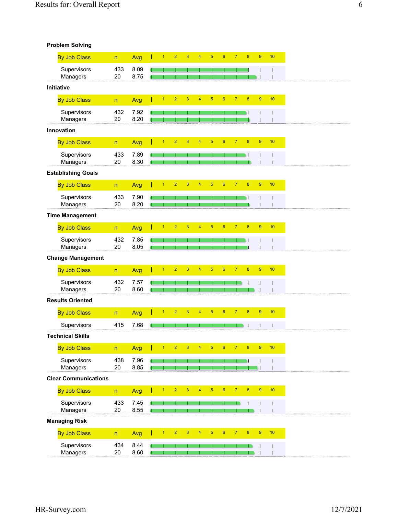| <b>Problem Solving</b> |  |  |
|------------------------|--|--|
|------------------------|--|--|

| <b>By Job Class</b>                | $\mathsf{n}$                   | Avg          | $\overline{1}$ | $\overline{2}$ | 3              | $\overline{4}$ | 5              | $6\phantom{1}6$ | $\overline{7}$ | 8                | $\boldsymbol{9}$ | 10 |
|------------------------------------|--------------------------------|--------------|----------------|----------------|----------------|----------------|----------------|-----------------|----------------|------------------|------------------|----|
| Supervisors                        | 433                            | 8.09         |                |                |                |                |                |                 |                |                  |                  |    |
| Managers                           | 20                             | 8.75         |                |                |                |                |                |                 |                |                  |                  |    |
| Initiative                         |                                |              |                |                |                |                |                |                 |                |                  |                  |    |
| <b>By Job Class</b>                | $\mathsf{n}$                   | Avg          | $\overline{1}$ | $\overline{2}$ | $\overline{3}$ | $\overline{4}$ | $\overline{5}$ | $6\overline{6}$ | $\overline{7}$ | $\overline{8}$   | $\boldsymbol{9}$ | 10 |
| Supervisors                        | 432                            | 7.92         |                |                |                |                |                |                 |                |                  |                  |    |
| Managers                           | 20                             | 8.20         |                |                |                |                |                |                 |                |                  |                  |    |
| Innovation                         |                                |              |                |                |                |                |                |                 |                |                  |                  |    |
| <b>By Job Class</b>                | n                              | Avg          | $\overline{1}$ | $\overline{2}$ | 3              | $\overline{4}$ | $\overline{5}$ | $6\phantom{a}$  | $\overline{7}$ | $\boldsymbol{8}$ | $9\,$            | 10 |
| Supervisors                        | 433                            | 7.89         |                |                |                |                |                |                 |                |                  |                  |    |
| Managers                           | 20                             | 8.30         |                |                |                |                |                |                 |                |                  |                  |    |
| <b>Establishing Goals</b>          |                                |              |                |                |                |                |                |                 |                |                  |                  |    |
| <b>By Job Class</b>                | $\overline{\mathsf{n}}$        | Avg          | $\overline{1}$ | $\overline{2}$ | 3              | $\overline{4}$ | $\overline{5}$ | $6\phantom{a}$  | $\overline{7}$ | $\overline{8}$   | $\overline{9}$   | 10 |
| Supervisors                        | 433                            | 7.90         |                |                |                |                |                |                 |                |                  |                  |    |
| Managers                           | 20                             | 8.20         |                |                |                |                |                |                 |                |                  |                  |    |
| <b>Time Management</b>             |                                |              |                |                |                |                |                |                 |                |                  |                  |    |
| <b>By Job Class</b>                | $\overline{\mathsf{n}}$        | Avg          | 1              | $\overline{2}$ | 3              | $\overline{4}$ | $\overline{5}$ | $6\phantom{a}$  | $\overline{7}$ | $\overline{8}$   | $9\,$            | 10 |
| Supervisors                        | 432                            | 7.85         |                |                |                |                |                |                 |                |                  |                  |    |
| Managers                           | 20                             | 8.05         |                |                |                |                |                |                 |                |                  |                  |    |
| <b>Change Management</b>           |                                |              |                |                |                |                |                |                 |                |                  |                  |    |
| <b>By Job Class</b>                | $\overline{\mathsf{n}}$        | Avg          | $\overline{1}$ | $\overline{2}$ | 3              | $\overline{4}$ | $\overline{5}$ | $6\overline{6}$ | $\overline{7}$ | $\overline{8}$   | $\boldsymbol{9}$ | 10 |
| Supervisors                        | 432                            | 7.57         |                |                |                |                |                |                 |                |                  |                  |    |
| Managers                           | 20                             | 8.60         |                |                |                |                |                |                 |                |                  |                  |    |
| <b>Results Oriented</b>            |                                |              |                |                |                |                |                |                 |                |                  |                  |    |
| <b>By Job Class</b>                | $\overline{\mathsf{n}}$        | Avg          | 1              | $\overline{2}$ | 3              | $\overline{4}$ | $\overline{5}$ | $6\phantom{a}$  | $\overline{7}$ | $\overline{8}$   | 9                | 10 |
| Supervisors                        | 415                            | 7.68         |                |                |                |                |                |                 |                |                  |                  |    |
| <b>Technical Skills</b>            |                                |              |                |                |                |                |                |                 |                |                  |                  |    |
| <b>By Job Class</b>                |                                | Avg          | 1              | $\overline{2}$ | 3              | 4              | $\sqrt{5}$     | $6\phantom{1}$  | $\overline{7}$ | $\boldsymbol{8}$ | $\overline{9}$   | 10 |
|                                    | $\sf n$                        |              |                |                |                |                |                |                 |                |                  |                  |    |
| Supervisors<br>Managers            | 438<br>20                      | 7.96<br>8.85 |                |                |                |                |                |                 |                |                  |                  |    |
| <b>Clear Communications</b>        |                                |              |                |                |                |                |                |                 |                |                  |                  |    |
|                                    |                                |              | $\overline{1}$ | $\overline{2}$ | $\overline{3}$ | $\overline{4}$ | $\sqrt{5}$     | 6 <sup>1</sup>  | 7 <sup>7</sup> | $\mathbf{8}$     | 9                | 10 |
| <b>By Job Class</b>                | $\overline{\mathsf{n}}$        | Avg          |                |                |                |                |                |                 |                |                  |                  |    |
| Supervisors<br>Managers            | 433<br>20                      | 7.45<br>8.55 |                |                |                |                |                |                 |                |                  |                  | I  |
| <b>Managing Risk</b>               |                                |              |                |                |                |                |                |                 |                |                  |                  |    |
|                                    |                                |              | $\overline{1}$ | $\overline{2}$ | 3              | $\overline{4}$ | $\overline{5}$ | $6\overline{6}$ | $\overline{7}$ | $\boldsymbol{8}$ | $9\,$            | 10 |
| <b>By Job Class</b><br>Supervisors | $\overline{\mathsf{n}}$<br>434 | Avg<br>8.44  |                |                |                |                |                |                 |                |                  |                  |    |
|                                    |                                |              |                |                |                |                |                |                 |                |                  |                  |    |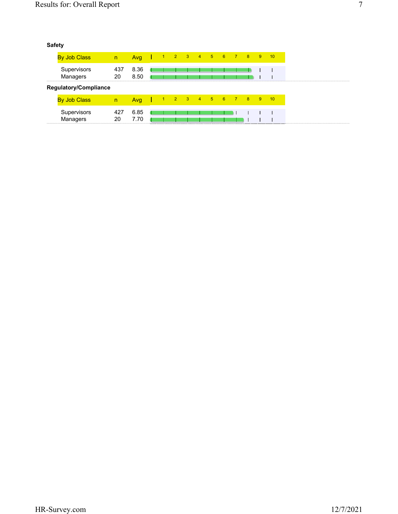| <b>By Job Class</b>          | n         | Avg          |  | 1 2 3 4 5 6 7 8 9 |  |  |  | $-10$ |
|------------------------------|-----------|--------------|--|-------------------|--|--|--|-------|
| Supervisors<br>Managers      | 437<br>20 | 8.36<br>8.50 |  |                   |  |  |  |       |
| <b>Regulatory/Compliance</b> |           |              |  |                   |  |  |  |       |
| By Job Class                 | n         | Avg          |  | 1 2 3 4 5 6 7 8 9 |  |  |  | $-10$ |
| Supervisors<br>Managers      | 427<br>20 | 6.85<br>7 70 |  |                   |  |  |  |       |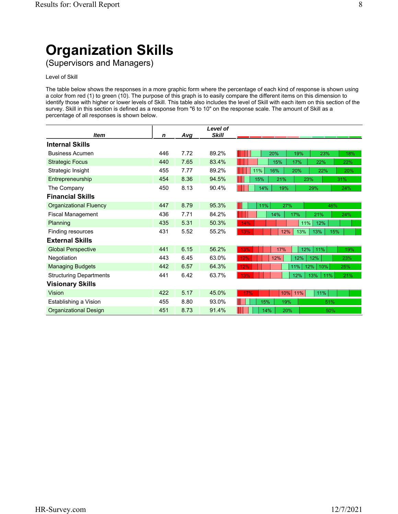# **Organization Skills**

(Supervisors and Managers)

# Level of Skill

The table below shows the responses in a more graphic form where the percentage of each kind of response is shown using a color from red (1) to green (10). The purpose of this graph is to easily compare the different items on this dimension to identify those with higher or lower levels of Skill. This table also includes the level of Skill with each item on this section of the survey. Skill in this section is defined as a response from "6 to 10" on the response scale. The amount of Skill as a percentage of all responses is shown below.

|                                |             |            | Level of     |                                 |
|--------------------------------|-------------|------------|--------------|---------------------------------|
| <b>Item</b>                    | $\mathbf n$ | <u>Avg</u> | <b>Skill</b> |                                 |
| <b>Internal Skills</b>         |             |            |              |                                 |
| <b>Business Acumen</b>         | 446         | 7.72       | 89.2%        | 20%<br>19%<br>23%<br>18%        |
| <b>Strategic Focus</b>         | 440         | 7.65       | 83.4%        | 15%<br>17%<br>22%<br>22%        |
| Strategic Insight              | 455         | 7.77       | 89.2%        | 11%<br>16%<br>20%<br>22%<br>20% |
| Entrepreneurship               | 454         | 8.36       | 94.5%        | 15%<br>21%<br>23%<br>31%        |
| The Company                    | 450         | 8.13       | 90.4%        | 14%<br>19%<br>29%<br>24%        |
| <b>Financial Skills</b>        |             |            |              |                                 |
| <b>Organizational Fluency</b>  | 447         | 8.79       | 95.3%        | 11%<br>27%<br>46%               |
| <b>Fiscal Management</b>       | 436         | 7.71       | 84.2%        | 14%<br>17%<br>21%<br>24%        |
| Planning                       | 435         | 5.31       | 50.3%        | 14%<br>11%<br>12%               |
| Finding resources              | 431         | 5.52       | 55.2%        | 13%<br>13%<br>13%<br>12%<br>15% |
| <b>External Skills</b>         |             |            |              |                                 |
| <b>Global Perspective</b>      | 441         | 6.15       | 56.2%        | 12%<br>13%<br>17%<br>11%<br>19% |
| Negotiation                    | 443         | 6.45       | 63.0%        | 12%<br>12%<br>12%<br>12%<br>23% |
| <b>Managing Budgets</b>        | 442         | 6.57       | 64.3%        | 11%<br>12%<br>10%<br>25%<br>12% |
| <b>Structuring Departments</b> | 441         | 6.42       | 63.7%        | 12%<br>13%<br>13%<br>11%<br>21% |
| <b>Visionary Skills</b>        |             |            |              |                                 |
| <b>Vision</b>                  | 422         | 5.17       | 45.0%        | 11%<br>17%<br>10%<br>11%        |
| Establishing a Vision          | 455         | 8.80       | 93.0%        | 15%<br>19%<br>51%               |
| <b>Organizational Design</b>   | 451         | 8.73       | 91.4%        | 14%<br>20%<br>50%               |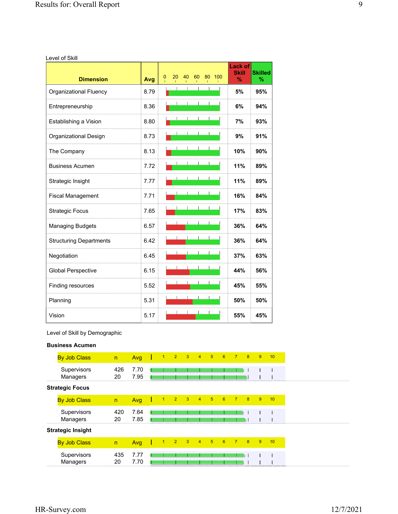Level of Skill

| <b>Dimension</b>               | Avg  | 0 | 20 | 40 | 60 | 80 | 100 | <b>Lack of</b><br><b>Skill</b><br>$\%$ | <b>Skilled</b><br>$\%$ |
|--------------------------------|------|---|----|----|----|----|-----|----------------------------------------|------------------------|
| <b>Organizational Fluency</b>  | 8.79 |   |    |    |    |    |     | 5%                                     | 95%                    |
| Entrepreneurship               | 8.36 |   |    |    |    |    |     | 6%                                     | 94%                    |
| Establishing a Vision          | 8.80 |   |    |    |    |    |     | 7%                                     | 93%                    |
| Organizational Design          | 8.73 |   |    |    |    |    |     | 9%                                     | 91%                    |
| The Company                    | 8.13 |   |    |    |    |    |     | 10%                                    | 90%                    |
| <b>Business Acumen</b>         | 7.72 |   |    |    |    |    |     | 11%                                    | 89%                    |
| Strategic Insight              | 7.77 |   |    |    |    |    |     | 11%                                    | 89%                    |
| <b>Fiscal Management</b>       | 7.71 |   |    |    |    |    |     | 16%                                    | 84%                    |
| <b>Strategic Focus</b>         | 7.65 |   |    |    |    |    |     | 17%                                    | 83%                    |
| <b>Managing Budgets</b>        | 6.57 |   |    |    |    |    |     | 36%                                    | 64%                    |
| <b>Structuring Departments</b> | 6.42 |   |    |    |    |    |     | 36%                                    | 64%                    |
| Negotiation                    | 6.45 |   |    |    |    |    |     | 37%                                    | 63%                    |
| <b>Global Perspective</b>      | 6.15 |   |    |    |    |    |     | 44%                                    | 56%                    |
| Finding resources              | 5.52 |   |    |    |    |    |     | 45%                                    | 55%                    |
| Planning                       | 5.31 |   |    |    |    |    |     | 50%                                    | 50%                    |
| Vision                         | 5.17 |   |    |    |    |    |     | 55%                                    | 45%                    |

Level of Skill by Demographic

# **Business Acumen**

| <b>By Job Class</b>      | n         | Avg          |      | $1 \quad 2 \quad 3$                 | $\overline{4}$ | $\frac{1}{2}$ | $\blacksquare$ 6 | $-7$           | $-8$ | 9              | 10 |
|--------------------------|-----------|--------------|------|-------------------------------------|----------------|---------------|------------------|----------------|------|----------------|----|
| Supervisors<br>Managers  | 426<br>20 | 7.70<br>7.95 |      |                                     |                |               |                  |                |      |                |    |
| <b>Strategic Focus</b>   |           |              |      |                                     |                |               |                  |                |      |                |    |
| <b>By Job Class</b>      | n         | Avg          | $-1$ | $2 \quad 3$                         | $\overline{4}$ | $-5$          | 6                | $\overline{7}$ | 8    | $\overline{9}$ | 10 |
| Supervisors<br>Managers  | 420<br>20 | 7.64<br>7.85 |      |                                     |                |               |                  |                |      |                |    |
| <b>Strategic Insight</b> |           |              |      |                                     |                |               |                  |                |      |                |    |
| <b>By Job Class</b>      | n         | Avg          |      | $1 \quad 2 \quad 3 \quad 4 \quad 5$ |                |               | $-6$             | $7 \t 8$       |      | 9              | 10 |
| Supervisors<br>Managers  | 435<br>20 | 7.77<br>7.70 |      |                                     |                |               |                  |                |      |                |    |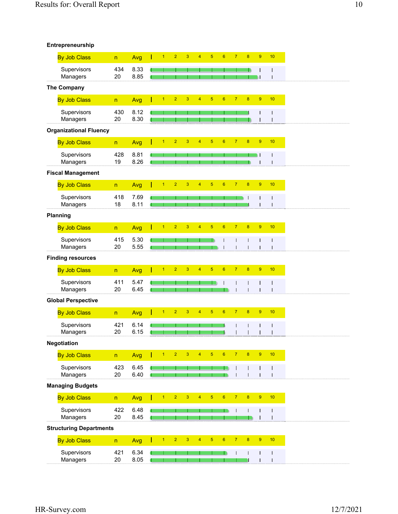| Entrepreneurship |  |  |  |
|------------------|--|--|--|
|------------------|--|--|--|

| $\overline{2}$<br>3<br>$\overline{5}$<br>$6\phantom{1}$<br>$\overline{7}$<br>8<br>$9$<br><b>By Job Class</b><br>$\blacktriangleleft$<br>4<br>Avg<br>n<br>434<br>Supervisors<br>8.33<br>8.85<br>Managers<br>20<br>The Company | 10<br>I<br>$\mathbf{I}$      |
|------------------------------------------------------------------------------------------------------------------------------------------------------------------------------------------------------------------------------|------------------------------|
|                                                                                                                                                                                                                              |                              |
|                                                                                                                                                                                                                              |                              |
|                                                                                                                                                                                                                              |                              |
| $\overline{2}$<br>$\overline{3}$<br>$\overline{5}$<br>$6\phantom{a}$<br>$\overline{7}$<br>$\bf 8$<br>$\boldsymbol{9}$<br>$\overline{1}$<br>$\overline{4}$<br><b>By Job Class</b><br>Avg<br>$\overline{\mathsf{n}}$           | 10                           |
|                                                                                                                                                                                                                              |                              |
| Supervisors<br>430<br>8.12<br>8.30<br>Managers<br>20                                                                                                                                                                         | Ī                            |
| <b>Organizational Fluency</b>                                                                                                                                                                                                |                              |
| $\overline{5}$<br>$\boldsymbol{6}$<br>9<br>$\overline{2}$<br>3<br>$\overline{4}$<br>$\overline{7}$<br>$\bf 8$<br>$\overline{1}$<br><b>By Job Class</b><br>Avg<br>$\mathsf{n}$                                                | 10                           |
| Supervisors<br>428<br>8.81                                                                                                                                                                                                   | Т                            |
| 8.26<br>Managers<br>19                                                                                                                                                                                                       |                              |
| <b>Fiscal Management</b>                                                                                                                                                                                                     |                              |
| $\overline{2}$<br>$\overline{3}$<br>$\overline{5}$<br>$6\overline{6}$<br>$\overline{7}$<br>$\overline{8}$<br>$\boldsymbol{9}$<br>$\overline{4}$<br>$\overline{1}$<br><b>By Job Class</b><br>Avg<br>$\overline{\mathsf{n}}$   | 10                           |
| Supervisors<br>418<br>7.69<br>T                                                                                                                                                                                              | I                            |
| Managers<br>18<br>8.11<br>Т                                                                                                                                                                                                  | I                            |
| Planning                                                                                                                                                                                                                     |                              |
| $\overline{2}$<br>$\overline{5}$<br>$\boldsymbol{6}$<br>$\overline{7}$<br>$\bf 8$<br>9<br>$\overline{1}$<br>3<br>4<br><b>By Job Class</b><br>Avg<br>$\overline{\mathsf{n}}$                                                  | 10                           |
| 415<br>Supervisors<br>5.30<br>Managers<br>20<br>5.55                                                                                                                                                                         | I<br>Т                       |
| <b>Finding resources</b>                                                                                                                                                                                                     |                              |
| $\overline{5}$<br>$\overline{7}$<br>$\overline{8}$<br>$\boldsymbol{9}$<br>$\overline{2}$<br>3<br>$6\phantom{a}$<br>$\overline{4}$<br>1<br><b>By Job Class</b><br>Avg<br>$\overline{\mathsf{n}}$                              | 10                           |
| Supervisors<br>411<br>5.47                                                                                                                                                                                                   |                              |
| Managers<br>20<br>6.45                                                                                                                                                                                                       |                              |
| <b>Global Perspective</b>                                                                                                                                                                                                    |                              |
| $\overline{7}$<br>$\bf 8$<br>9<br>$\overline{2}$<br>3<br>$\overline{5}$<br>$\boldsymbol{6}$<br><b>By Job Class</b><br>$\overline{4}$<br>Avg<br>1<br>$\overline{\mathsf{n}}$                                                  | 10                           |
| Supervisors<br>421<br>6.14                                                                                                                                                                                                   | J                            |
| 6.15<br>20<br>Managers                                                                                                                                                                                                       |                              |
| Negotiation                                                                                                                                                                                                                  |                              |
| $\overline{2}$<br>$\overline{3}$<br>$\overline{5}$<br>$\overline{7}$<br>$\boldsymbol{8}$<br>9<br><b>By Job Class</b><br>$\overline{1}$<br>$\overline{4}$<br>$6\phantom{1}$<br>Avg<br>$\mathsf{n}$                            | 10                           |
| Supervisors<br>423<br>6.45                                                                                                                                                                                                   | $\mathbf l$                  |
| 6.40<br>Managers<br>20<br>$\mathbf{I}$                                                                                                                                                                                       | T                            |
| <b>Managing Budgets</b>                                                                                                                                                                                                      |                              |
| $\overline{2}$<br>$\overline{3}$<br>$\overline{5}$<br>$6\overline{6}$<br>$\mathbf{7}$<br>$\pmb{8}$<br>$\overline{1}$<br>$\overline{4}$<br>9<br><b>By Job Class</b><br>$\overline{\mathsf{n}}$<br>Avg                         | 10                           |
| Supervisors<br>422<br>6.48<br>8.45<br>20                                                                                                                                                                                     | $\mathsf{l}$                 |
| Managers<br><b>Structuring Departments</b>                                                                                                                                                                                   |                              |
| $\overline{5}$<br>$\mathbf{7}$<br>$9\,$<br>$\overline{2}$<br>$\overline{3}$<br>$\overline{4}$<br>$6\phantom{a}$<br>$\boldsymbol{8}$<br>$\overline{1}$                                                                        | 10                           |
| <b>By Job Class</b><br>Avg<br>$\overline{\mathsf{n}}$                                                                                                                                                                        |                              |
| Supervisors<br>421<br>6.34<br>П<br>$20\,$<br>8.05<br>Managers                                                                                                                                                                | $\mathbf{I}$<br>$\mathbf{I}$ |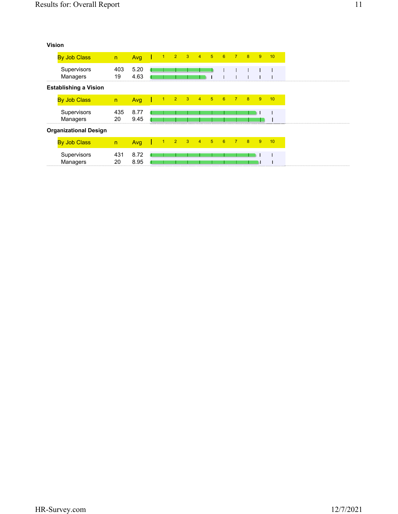# **Vision**

| <b>By Job Class</b>          | n         | Avg 1 1 2 3 4 5 6 |              |  |                                     |      | $7 \t 8$       |   | 9              | 10 |
|------------------------------|-----------|-------------------|--------------|--|-------------------------------------|------|----------------|---|----------------|----|
| Supervisors<br>Managers      | 403<br>19 | 5.20<br>4.63      |              |  |                                     |      |                |   |                |    |
| <b>Establishing a Vision</b> |           |                   |              |  |                                     |      |                |   |                |    |
| <b>By Job Class</b>          | n         | Avg               | $\mathbf{L}$ |  | $1 2 3 4 5 6$                       |      | $\sqrt{7}$     | 8 | 9              | 10 |
| Supervisors<br>Managers      | 435<br>20 | 8.77<br>9.45      |              |  |                                     |      |                |   |                |    |
| <b>Organizational Design</b> |           |                   |              |  |                                     |      |                |   |                |    |
| <b>By Job Class</b>          | n         | Avg               | $\mathbf{I}$ |  | $1 \quad 2 \quad 3 \quad 4 \quad 5$ | $-6$ | $\overline{7}$ | 8 | $\overline{9}$ | 10 |
| Supervisors<br>Managers      | 431<br>20 | 8.72<br>8.95      |              |  |                                     |      |                |   |                |    |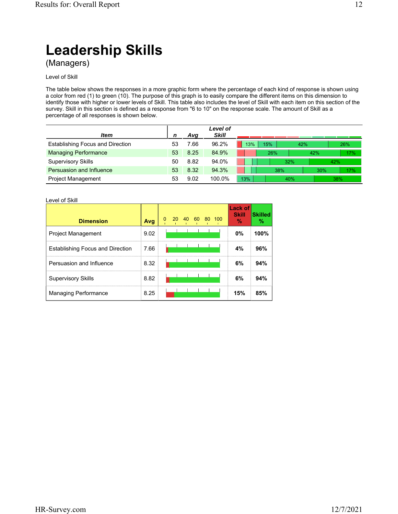# **Leadership Skills**

(Managers)

# Level of Skill

The table below shows the responses in a more graphic form where the percentage of each kind of response is shown using a color from red (1) to green (10). The purpose of this graph is to easily compare the different items on this dimension to identify those with higher or lower levels of Skill. This table also includes the level of Skill with each item on this section of the survey. Skill in this section is defined as a response from "6 to 10" on the response scale. The amount of Skill as a percentage of all responses is shown below.

|                                         |    |      | Level of     |            |     |     |     |
|-----------------------------------------|----|------|--------------|------------|-----|-----|-----|
| ltem                                    |    | Ava  | <b>Skill</b> |            |     |     |     |
| <b>Establishing Focus and Direction</b> | 53 | 7.66 | 96.2%        | 15%<br>13% | 42% |     | 26% |
| <b>Managing Performance</b>             | 53 | 8.25 | 84.9%        | 26%        |     | 42% | 17% |
| <b>Supervisory Skills</b>               | 50 | 8.82 | 94.0%        |            | 32% | 42% |     |
| Persuasion and Influence                | 53 | 8.32 | 94.3%        |            | 38% | 30% | 17% |
| <b>Project Management</b>               | 53 | 9.02 | 100.0%       | 13%        | 40% | 38% |     |

### Level of Skill

| <b>Dimension</b>                        | Avg  | 0 | 20 | 40 | -60 | 80 100 | Lack of<br><b>Skill</b><br>V. | <b>Skilled</b><br>℅ |
|-----------------------------------------|------|---|----|----|-----|--------|-------------------------------|---------------------|
| <b>Project Management</b>               | 9.02 |   |    |    |     |        | 0%                            | 100%                |
| <b>Establishing Focus and Direction</b> | 7.66 |   |    |    |     |        | 4%                            | 96%                 |
| Persuasion and Influence                | 8.32 |   |    |    |     |        | 6%                            | 94%                 |
| <b>Supervisory Skills</b>               | 8.82 |   |    |    |     |        | 6%                            | 94%                 |
| Managing Performance                    | 8.25 |   |    |    |     |        | 15%                           | 85%                 |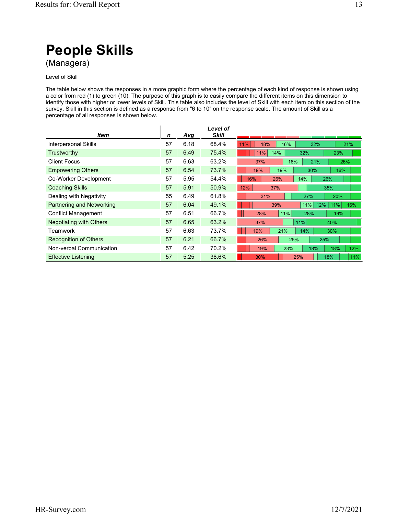Level of Skill

The table below shows the responses in a more graphic form where the percentage of each kind of response is shown using a color from red (1) to green (10). The purpose of this graph is to easily compare the different items on this dimension to identify those with higher or lower levels of Skill. This table also includes the level of Skill with each item on this section of the survey. Skill in this section is defined as a response from "6 to 10" on the response scale. The amount of Skill as a percentage of all responses is shown below.

|                                  |    |      | Level of     |                                 |
|----------------------------------|----|------|--------------|---------------------------------|
| ltem                             | n  | Avg  | <b>Skill</b> |                                 |
| <b>Interpersonal Skills</b>      | 57 | 6.18 | 68.4%        | 18%<br>16%<br>32%<br>21%<br>11% |
| Trustworthy                      | 57 | 6.49 | 75.4%        | 14%<br>11%<br>32%<br>23%        |
| <b>Client Focus</b>              | 57 | 6.63 | 63.2%        | 21%<br>37%<br>16%<br>26%        |
| <b>Empowering Others</b>         | 57 | 6.54 | 73.7%        | 19%<br>19%<br>30%<br>16%        |
| Co-Worker Development            | 57 | 5.95 | 54.4%        | 16%<br>14%<br>26%<br>26%        |
| <b>Coaching Skills</b>           | 57 | 5.91 | 50.9%        | 12%<br>37%<br>35%               |
| Dealing with Negativity          | 55 | 6.49 | 61.8%        | 20%<br>31%<br>27%               |
| <b>Partnering and Networking</b> | 57 | 6.04 | 49.1%        | 11%<br>39%<br>12%<br>16%<br>11% |
| <b>Conflict Management</b>       | 57 | 6.51 | 66.7%        | 11%<br>28%<br>28%<br>19%        |
| <b>Negotiating with Others</b>   | 57 | 6.65 | 63.2%        | 11%<br>37%<br>40%               |
| Teamwork                         | 57 | 6.63 | 73.7%        | 21%<br>14%<br>19%<br>30%        |
| <b>Recognition of Others</b>     | 57 | 6.21 | 66.7%        | 26%<br>25%<br>25%               |
| Non-verbal Communication         | 57 | 6.42 | 70.2%        | 19%<br>23%<br>18%<br>18%<br>12% |
| <b>Effective Listening</b>       | 57 | 5.25 | 38.6%        | 11%<br>30%<br>25%<br>18%        |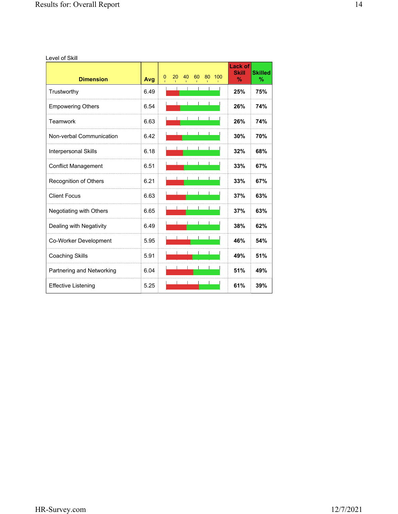Level of Skill

| <b>Dimension</b>               | Avg  | 20<br>40<br>60<br>80<br>100<br>0 | <b>Lack of</b><br><b>Skill</b><br>$\%$ | <b>Skilled</b><br>% |
|--------------------------------|------|----------------------------------|----------------------------------------|---------------------|
| Trustworthy                    | 6.49 |                                  | 25%                                    | 75%                 |
| <b>Empowering Others</b>       | 6.54 |                                  | 26%                                    | 74%                 |
| Teamwork                       | 6.63 |                                  | 26%                                    | 74%                 |
| Non-verbal Communication       | 6.42 |                                  | 30%                                    | 70%                 |
| <b>Interpersonal Skills</b>    | 6.18 |                                  | 32%                                    | 68%                 |
| <b>Conflict Management</b>     | 6.51 |                                  | 33%                                    | 67%                 |
| Recognition of Others          | 6.21 |                                  | 33%                                    | 67%                 |
| <b>Client Focus</b>            | 6.63 |                                  | 37%                                    | 63%                 |
| <b>Negotiating with Others</b> | 6.65 |                                  | 37%                                    | 63%                 |
| Dealing with Negativity        | 6.49 |                                  | 38%                                    | 62%                 |
| Co-Worker Development          | 5.95 |                                  | 46%                                    | 54%                 |
| <b>Coaching Skills</b>         | 5.91 |                                  | 49%                                    | 51%                 |
| Partnering and Networking      | 6.04 |                                  | 51%                                    | 49%                 |
| <b>Effective Listening</b>     | 5.25 |                                  | 61%                                    | 39%                 |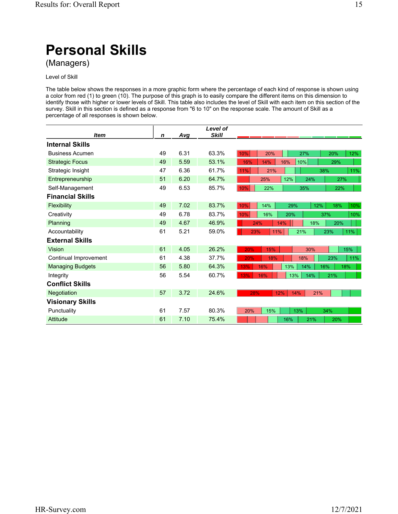(Managers)

# Level of Skill

The table below shows the responses in a more graphic form where the percentage of each kind of response is shown using a color from red (1) to green (10). The purpose of this graph is to easily compare the different items on this dimension to identify those with higher or lower levels of Skill. This table also includes the level of Skill with each item on this section of the survey. Skill in this section is defined as a response from "6 to 10" on the response scale. The amount of Skill as a percentage of all responses is shown below.

|                         |             |      | Level of     |                                        |
|-------------------------|-------------|------|--------------|----------------------------------------|
| ltem                    | $\mathbf n$ | Avg  | <b>Skill</b> |                                        |
| <b>Internal Skills</b>  |             |      |              |                                        |
| <b>Business Acumen</b>  | 49          | 6.31 | 63.3%        | 10%<br>20%<br>27%<br>20%<br>12%        |
| <b>Strategic Focus</b>  | 49          | 5.59 | 53.1%        | 14%<br>10%<br>16%<br>16%<br>29%        |
| Strategic Insight       | 47          | 6.36 | 61.7%        | 11%<br>21%<br>38%<br>11%               |
| Entrepreneurship        | 51          | 6.20 | 64.7%        | 12%<br>25%<br>24%<br>27%               |
| Self-Management         | 49          | 6.53 | 85.7%        | 10%<br>22%<br>35%<br>22%               |
| <b>Financial Skills</b> |             |      |              |                                        |
| Flexibility             | 49          | 7.02 | 83.7%        | 10%<br>14%<br>12%<br>18%<br>29%<br>10% |
| Creativity              | 49          | 6.78 | 83.7%        | 10%<br>16%<br>10%<br>20%<br>37%        |
| Planning                | 49          | 4.67 | 46.9%        | 24%<br>14%<br>18%<br>20%               |
| Accountability          | 61          | 5.21 | 59.0%        | 23%<br>11%<br>23%<br>11%<br>21%        |
| <b>External Skills</b>  |             |      |              |                                        |
| <b>Vision</b>           | 61          | 4.05 | 26.2%        | 15%<br>15%<br>20%<br>30%               |
| Continual Improvement   | 61          | 4.38 | 37.7%        | 18%<br>20%<br>18%<br>23%<br>11%        |
| <b>Managing Budgets</b> | 56          | 5.80 | 64.3%        | 13%<br>14%<br>16%<br>16%<br>18%<br>13% |
| Integrity               | 56          | 5.54 | 60.7%        | 13%<br>13%<br>16%<br>14%<br>21%        |
| <b>Conflict Skills</b>  |             |      |              |                                        |
| Negotiation             | 57          | 3.72 | 24.6%        | 28%<br>12%<br>14%<br>21%               |
| <b>Visionary Skills</b> |             |      |              |                                        |
| Punctuality             | 61          | 7.57 | 80.3%        | 15%<br>13%<br>20%<br>34%               |
| <b>Attitude</b>         | 61          | 7.10 | 75.4%        | 16%<br>21%<br>20%                      |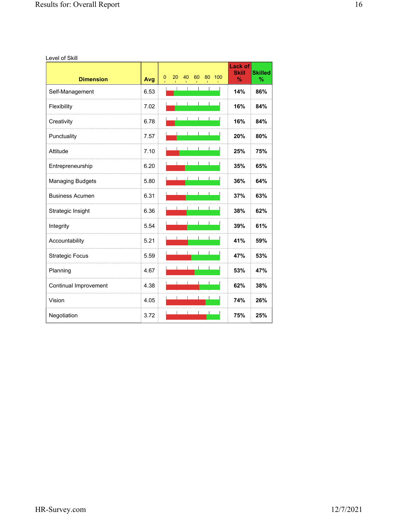Level of Skill

| <b>Dimension</b>        | Avg  | 0 | 20 | 40 | 60 | 80 | 100 | <b>Lack of</b><br><b>Skill</b><br>$\frac{9}{6}$ | <b>Skilled</b><br>$\%$ |
|-------------------------|------|---|----|----|----|----|-----|-------------------------------------------------|------------------------|
| Self-Management         | 6.53 |   |    |    |    |    |     | 14%                                             | 86%                    |
| Flexibility             | 7.02 |   |    |    |    |    |     | 16%                                             | 84%                    |
| Creativity              | 6.78 |   |    |    |    |    |     | 16%                                             | 84%                    |
| Punctuality             | 7.57 |   |    |    |    |    |     | 20%                                             | 80%                    |
| Attitude                | 7.10 |   |    |    |    |    |     | 25%                                             | 75%                    |
| Entrepreneurship        | 6.20 |   |    |    |    |    |     | 35%                                             | 65%                    |
| <b>Managing Budgets</b> | 5.80 |   |    |    |    |    |     | 36%                                             | 64%                    |
| <b>Business Acumen</b>  | 6.31 |   |    |    |    |    |     | 37%                                             | 63%                    |
| Strategic Insight       | 6.36 |   |    |    |    |    |     | 38%                                             | 62%                    |
| Integrity               | 5.54 |   |    |    |    |    |     | 39%                                             | 61%                    |
| Accountability          | 5.21 |   |    |    |    |    |     | 41%                                             | 59%                    |
| <b>Strategic Focus</b>  | 5.59 |   |    |    |    |    |     | 47%                                             | 53%                    |
| Planning                | 4.67 |   |    |    |    |    |     | 53%                                             | 47%                    |
| Continual Improvement   | 4.38 |   |    |    |    |    |     | 62%                                             | 38%                    |
| Vision                  | 4.05 |   |    |    |    |    |     | 74%                                             | 26%                    |
| Negotiation             | 3.72 |   |    |    |    |    |     | 75%                                             | 25%                    |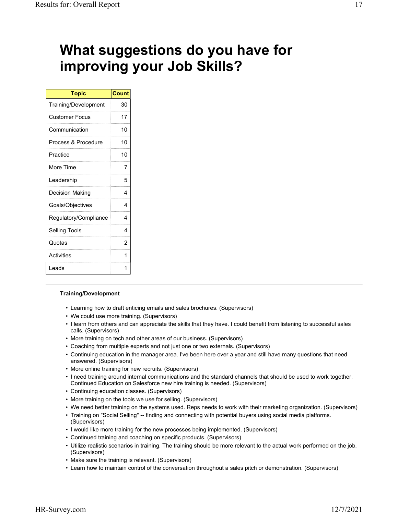# **What suggestions do you have for improving your Job Skills?**

| <b>Topic</b>          | <b>Count</b> |
|-----------------------|--------------|
| Training/Development  | 30           |
| <b>Customer Focus</b> | 17           |
| Communication         | 10           |
| Process & Procedure   | 10           |
| Practice              | 10           |
| More Time             | 7            |
| Leadership            | 5            |
| Decision Making       | 4            |
| Goals/Objectives      | 4            |
| Regulatory/Compliance | 4            |
| <b>Selling Tools</b>  | 4            |
| Quotas                | 2            |
| Activities            | 1            |
| I eads                | 1            |

# **Training/Development**

- Learning how to draft enticing emails and sales brochures. (Supervisors)
- We could use more training. (Supervisors)
- I learn from others and can appreciate the skills that they have. I could benefit from listening to successful sales calls. (Supervisors)
- More training on tech and other areas of our business. (Supervisors)
- Coaching from multiple experts and not just one or two externals. (Supervisors)
- Continuing education in the manager area. I've been here over a year and still have many questions that need answered. (Supervisors)
- More online training for new recruits. (Supervisors)
- I need training around internal communications and the standard channels that should be used to work together. Continued Education on Salesforce new hire training is needed. (Supervisors)
- Continuing education classes. (Supervisors)
- More training on the tools we use for selling. (Supervisors)
- We need better training on the systems used. Reps needs to work with their marketing organization. (Supervisors)
- Training on "Social Selling" -- finding and connecting with potential buyers using social media platforms. (Supervisors)
- I would like more training for the new processes being implemented. (Supervisors)
- Continued training and coaching on specific products. (Supervisors)
- Utilize realistic scenarios in training. The training should be more relevant to the actual work performed on the job. (Supervisors)
- Make sure the training is relevant. (Supervisors)
- Learn how to maintain control of the conversation throughout a sales pitch or demonstration. (Supervisors)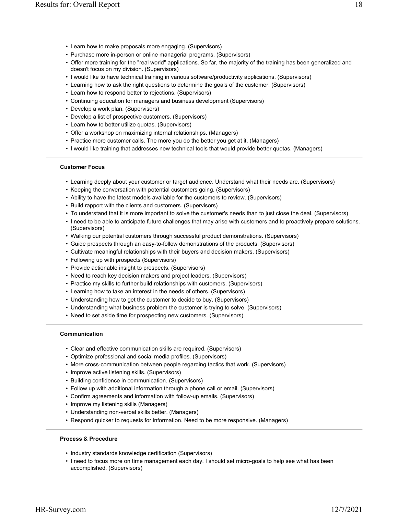- Purchase more in-person or online managerial programs. (Supervisors)
- Offer more training for the "real world" applications. So far, the majority of the training has been generalized and doesn't focus on my division. (Supervisors)
- I would like to have technical training in various software/productivity applications. (Supervisors)
- Learning how to ask the right questions to determine the goals of the customer. (Supervisors)
- Learn how to respond better to rejections. (Supervisors)
- Continuing education for managers and business development (Supervisors)
- Develop a work plan. (Supervisors)
- Develop a list of prospective customers. (Supervisors)
- Learn how to better utilize quotas. (Supervisors)
- Offer a workshop on maximizing internal relationships. (Managers)
- Practice more customer calls. The more you do the better you get at it. (Managers)
- I would like training that addresses new technical tools that would provide better quotas. (Managers)

# **Customer Focus**

- Learning deeply about your customer or target audience. Understand what their needs are. (Supervisors)
- Keeping the conversation with potential customers going. (Supervisors)
- Ability to have the latest models available for the customers to review. (Supervisors)
- Build rapport with the clients and customers. (Supervisors)
- To understand that it is more important to solve the customer's needs than to just close the deal. (Supervisors)
- I need to be able to anticipate future challenges that may arise with customers and to proactively prepare solutions. (Supervisors)
- Walking our potential customers through successful product demonstrations. (Supervisors)
- Guide prospects through an easy-to-follow demonstrations of the products. (Supervisors)
- Cultivate meaningful relationships with their buyers and decision makers. (Supervisors)
- Following up with prospects (Supervisors)
- Provide actionable insight to prospects. (Supervisors)
- Need to reach key decision makers and project leaders. (Supervisors)
- Practice my skills to further build relationships with customers. (Supervisors)
- Learning how to take an interest in the needs of others. (Supervisors)
- Understanding how to get the customer to decide to buy. (Supervisors)
- Understanding what business problem the customer is trying to solve. (Supervisors)
- Need to set aside time for prospecting new customers. (Supervisors)

#### **Communication**

- Clear and effective communication skills are required. (Supervisors)
- Optimize professional and social media profiles. (Supervisors)
- More cross-communication between people regarding tactics that work. (Supervisors)
- Improve active listening skills. (Supervisors)
- Building confidence in communication. (Supervisors)
- Follow up with additional information through a phone call or email. (Supervisors)
- Confirm agreements and information with follow-up emails. (Supervisors)
- Improve my listening skills (Managers)
- Understanding non-verbal skills better. (Managers)
- Respond quicker to requests for information. Need to be more responsive. (Managers)

# **Process & Procedure**

- Industry standards knowledge certification (Supervisors)
- I need to focus more on time management each day. I should set micro-goals to help see what has been accomplished. (Supervisors)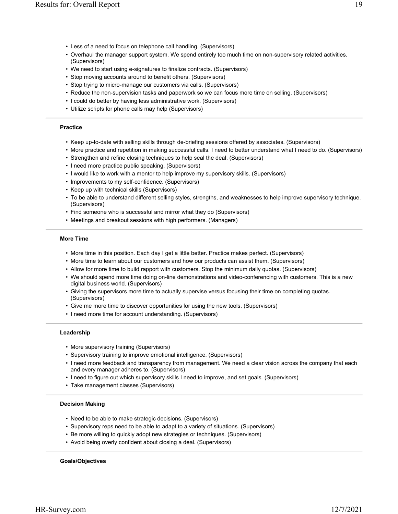- Less of a need to focus on telephone call handling. (Supervisors)
- Overhaul the manager support system. We spend entirely too much time on non-supervisory related activities. (Supervisors)
- We need to start using e-signatures to finalize contracts. (Supervisors)
- Stop moving accounts around to benefit others. (Supervisors)
- Stop trying to micro-manage our customers via calls. (Supervisors)
- Reduce the non-supervision tasks and paperwork so we can focus more time on selling. (Supervisors)
- I could do better by having less administrative work. (Supervisors)
- Utilize scripts for phone calls may help (Supervisors)

#### **Practice**

- Keep up-to-date with selling skills through de-briefing sessions offered by associates. (Supervisors)
- More practice and repetition in making successful calls. I need to better understand what I need to do. (Supervisors)
- Strengthen and refine closing techniques to help seal the deal. (Supervisors)
- I need more practice public speaking. (Supervisors)
- I would like to work with a mentor to help improve my supervisory skills. (Supervisors)
- Improvements to my self-confidence. (Supervisors)
- Keep up with technical skills (Supervisors)
- To be able to understand different selling styles, strengths, and weaknesses to help improve supervisory technique. (Supervisors)
- Find someone who is successful and mirror what they do (Supervisors)
- Meetings and breakout sessions with high performers. (Managers)

#### **More Time**

- More time in this position. Each day I get a little better. Practice makes perfect. (Supervisors)
- More time to learn about our customers and how our products can assist them. (Supervisors)
- Allow for more time to build rapport with customers. Stop the minimum daily quotas. (Supervisors)
- We should spend more time doing on-line demonstrations and video-conferencing with customers. This is a new digital business world. (Supervisors)
- Giving the supervisors more time to actually supervise versus focusing their time on completing quotas. (Supervisors)
- Give me more time to discover opportunities for using the new tools. (Supervisors)
- I need more time for account understanding. (Supervisors)

### **Leadership**

- More supervisory training (Supervisors)
- Supervisory training to improve emotional intelligence. (Supervisors)
- I need more feedback and transparency from management. We need a clear vision across the company that each and every manager adheres to. (Supervisors)
- I need to figure out which supervisory skills I need to improve, and set goals. (Supervisors)
- Take management classes (Supervisors)

# **Decision Making**

- Need to be able to make strategic decisions. (Supervisors)
- Supervisory reps need to be able to adapt to a variety of situations. (Supervisors)
- Be more willing to quickly adopt new strategies or techniques. (Supervisors)
- Avoid being overly confident about closing a deal. (Supervisors)

#### **Goals/Objectives**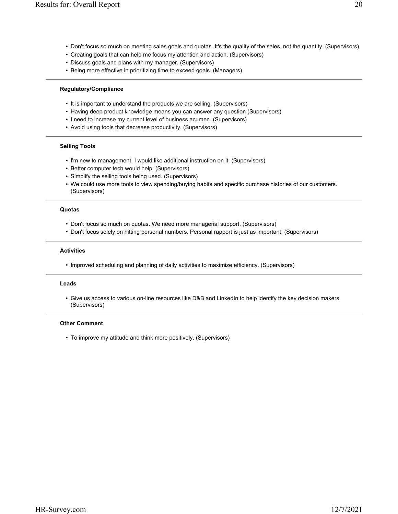- Don't focus so much on meeting sales goals and quotas. It's the quality of the sales, not the quantity. (Supervisors)
- Creating goals that can help me focus my attention and action. (Supervisors)
- Discuss goals and plans with my manager. (Supervisors)
- Being more effective in prioritizing time to exceed goals. (Managers)

# **Regulatory/Compliance**

- It is important to understand the products we are selling. (Supervisors)
- Having deep product knowledge means you can answer any question (Supervisors)
- I need to increase my current level of business acumen. (Supervisors)
- Avoid using tools that decrease productivity. (Supervisors)

# **Selling Tools**

- I'm new to management, I would like additional instruction on it. (Supervisors)
- Better computer tech would help. (Supervisors)
- Simplify the selling tools being used. (Supervisors)
- We could use more tools to view spending/buying habits and specific purchase histories of our customers. (Supervisors)

### **Quotas**

- Don't focus so much on quotas. We need more managerial support. (Supervisors)
- Don't focus solely on hitting personal numbers. Personal rapport is just as important. (Supervisors)

# **Activities**

• Improved scheduling and planning of daily activities to maximize efficiency. (Supervisors)

#### **Leads**

• Give us access to various on-line resources like D&B and LinkedIn to help identify the key decision makers. (Supervisors)

# **Other Comment**

• To improve my attitude and think more positively. (Supervisors)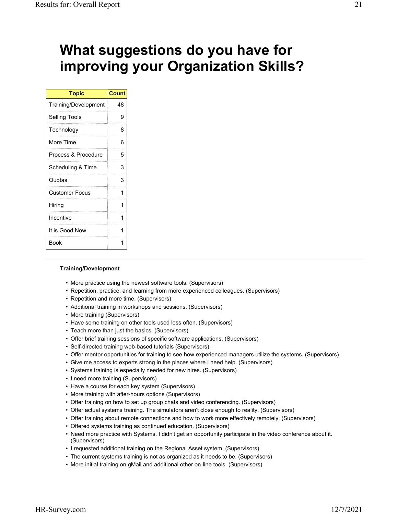# **What suggestions do you have for improving your Organization Skills?**

| <b>Topic</b>          | <b>Count</b> |
|-----------------------|--------------|
| Training/Development  | 48           |
| <b>Selling Tools</b>  | 9            |
| Technology            | 8            |
| More Time             | 6            |
| Process & Procedure   | 5            |
| Scheduling & Time     | 3            |
| Quotas                | 3            |
| <b>Customer Focus</b> | 1            |
| Hiring                | 1            |
| Incentive             | 1            |
| It is Good Now        | 1            |
| Book                  |              |

# **Training/Development**

- More practice using the newest software tools. (Supervisors)
- Repetition, practice, and learning from more experienced colleagues. (Supervisors)
- Repetition and more time. (Supervisors)
- Additional training in workshops and sessions. (Supervisors)
- More training (Supervisors)
- Have some training on other tools used less often. (Supervisors)
- Teach more than just the basics. (Supervisors)
- Offer brief training sessions of specific software applications. (Supervisors)
- Self-directed training web-based tutorials (Supervisors)
- Offer mentor opportunities for training to see how experienced managers utilize the systems. (Supervisors)
- Give me access to experts strong in the places where I need help. (Supervisors)
- Systems training is especially needed for new hires. (Supervisors)
- I need more training (Supervisors)
- Have a course for each key system (Supervisors)
- More training with after-hours options (Supervisors)
- Offer training on how to set up group chats and video conferencing. (Supervisors)
- Offer actual systems training. The simulators aren't close enough to reality. (Supervisors)
- Offer training about remote connections and how to work more effectively remotely. (Supervisors)
- Offered systems training as continued education. (Supervisors)
- Need more practice with Systems. I didn't get an opportunity participate in the video conference about it. (Supervisors)
- I requested additional training on the Regional Asset system. (Supervisors)
- The current systems training is not as organized as it needs to be. (Supervisors)
- More initial training on gMail and additional other on-line tools. (Supervisors)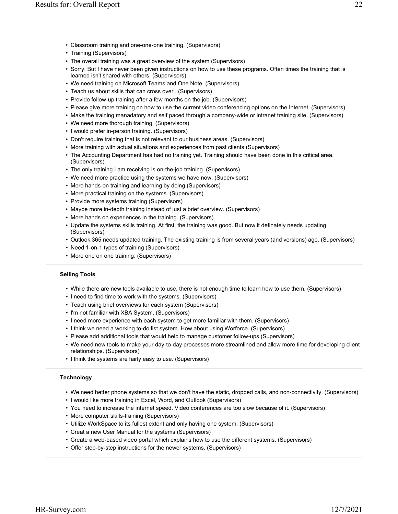- Classroom training and one-one-one training. (Supervisors)
- Training (Supervisors)
- The overall training was a great overview of the system (Supervisors)
- Sorry. But I have never been given instructions on how to use these programs. Often times the training that is learned isn't shared with others. (Supervisors)
- We need training on Microsoft Teams and One Note. (Supervisors)
- Teach us about skills that can cross over . (Supervisors)
- Provide follow-up training after a few months on the job. (Supervisors)
- Please give more training on how to use the current video conferencing options on the Internet. (Supervisors)
- Make the training manadatory and self paced through a company-wide or intranet training site. (Supervisors)
- We need more thorough training. (Supervisors)
- I would prefer in-person training. (Supervisors)
- Don't require training that is not relevant to our business areas. (Supervisors)
- More training with actual situations and experiences from past clients (Supervisors)
- The Accounting Department has had no training yet. Training should have been done in this critical area. (Supervisors)
- The only training I am receiving is on-the-job training. (Supervisors)
- We need more practice using the systems we have now. (Supervisors)
- More hands-on training and learning by doing (Supervisors)
- More practical training on the systems. (Supervisors)
- Provide more systems training (Supervisors)
- Maybe more in-depth training instead of just a brief overview. (Supervisors)
- More hands on experiences in the training. (Supervisors)
- Update the systems skills training. At first, the training was good. But now it definately needs updating. (Supervisors)
- Outlook 365 needs updated training. The existing training is from several years (and versions) ago. (Supervisors)
- Need 1-on-1 types of training (Supervisors)
- More one on one training. (Supervisors)

# **Selling Tools**

- While there are new tools available to use, there is not enough time to learn how to use them. (Supervisors)
- I need to find time to work with the systems. (Supervisors)
- Teach using brief overviews for each system (Supervisors)
- I'm not familiar with XBA System. (Supervisors)
- I need more experience with each system to get more familiar with them. (Supervisors)
- I think we need a working to-do list system. How about using Worforce. (Supervisors)
- Please add additional tools that would help to manage customer follow-ups (Supervisors)
- We need new tools to make your day-to-day processes more streamlined and allow more time for developing client relationships. (Supervisors)
- I think the systems are fairly easy to use. (Supervisors)

# **Technology**

- We need better phone systems so that we don't have the static, dropped calls, and non-connectivity. (Supervisors)
- I would like more training in Excel, Word, and Outlook (Supervisors)
- You need to increase the internet speed. Video conferences are too slow because of it. (Supervisors)
- More computer skills-training (Supervisors)
- Utilize WorkSpace to its fullest extent and only having one system. (Supervisors)
- Creat a new User Manual for the systems (Supervisors)
- Create a web-based video portal which explains how to use the different systems. (Supervisors)
- Offer step-by-step instructions for the newer systems. (Supervisors)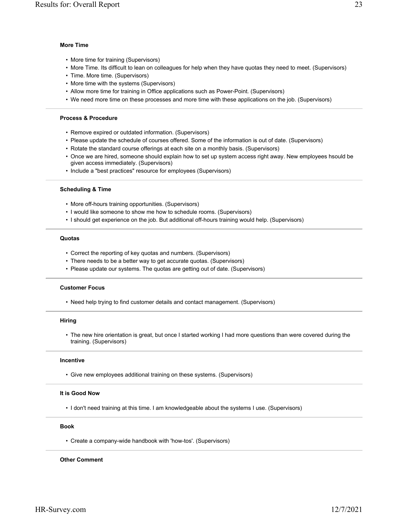#### **More Time**

- More time for training (Supervisors)
- More Time. Its difficult to lean on colleagues for help when they have quotas they need to meet. (Supervisors)
- Time. More time. (Supervisors)
- More time with the systems (Supervisors)
- Allow more time for training in Office applications such as Power-Point. (Supervisors)
- We need more time on these processes and more time with these applications on the job. (Supervisors)

#### **Process & Procedure**

- Remove expired or outdated information. (Supervisors)
- Please update the schedule of courses offered. Some of the information is out of date. (Supervisors)
- Rotate the standard course offerings at each site on a monthly basis. (Supervisors)
- Once we are hired, someone should explain how to set up system access right away. New employees hsould be given access immediately. (Supervisors)
- Include a "best practices" resource for employees (Supervisors)

#### **Scheduling & Time**

- More off-hours training opportunities. (Supervisors)
- I would like someone to show me how to schedule rooms. (Supervisors)
- I should get experience on the job. But additional off-hours training would help. (Supervisors)

#### **Quotas**

- Correct the reporting of key quotas and numbers. (Supervisors)
- There needs to be a better way to get accurate quotas. (Supervisors)
- Please update our systems. The quotas are getting out of date. (Supervisors)

#### **Customer Focus**

• Need help trying to find customer details and contact management. (Supervisors)

#### **Hiring**

• The new hire orientation is great, but once I started working I had more questions than were covered during the training. (Supervisors)

### **Incentive**

• Give new employees additional training on these systems. (Supervisors)

#### **It is Good Now**

• I don't need training at this time. I am knowledgeable about the systems I use. (Supervisors)

#### **Book**

• Create a company-wide handbook with 'how-tos'. (Supervisors)

#### **Other Comment**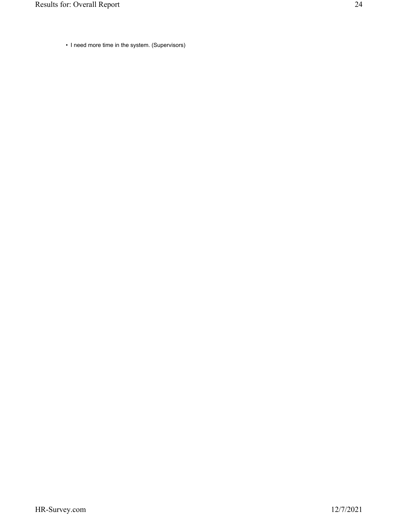• I need more time in the system. (Supervisors)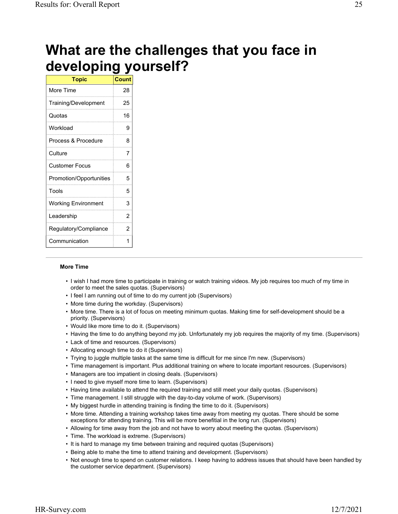# **What are the challenges that you face in developing yourself?**

| <b>Topic</b>               | <b>Count</b> |
|----------------------------|--------------|
| More Time                  | 28           |
| Training/Development       | 25           |
| Quotas                     | 16           |
| Workload                   | 9            |
| Process & Procedure        | 8            |
| Culture                    | 7            |
| <b>Customer Focus</b>      | 6            |
| Promotion/Opportunities    | 5            |
| Tools                      | 5            |
| <b>Working Environment</b> | 3            |
| Leadership                 | 2            |
| Regulatory/Compliance      | 2            |
| Communication              | 1            |

# **More Time**

- I wish I had more time to participate in training or watch training videos. My job requires too much of my time in order to meet the sales quotas. (Supervisors)
- I feel I am running out of time to do my current job (Supervisors)
- More time during the workday. (Supervisors)
- More time. There is a lot of focus on meeting minimum quotas. Making time for self-development should be a priority. (Supervisors)
- Would like more time to do it. (Supervisors)
- Having the time to do anything beyond my job. Unfortunately my job requires the majority of my time. (Supervisors)
- Lack of time and resources. (Supervisors)
- Allocating enough time to do it (Supervisors)
- Trying to juggle multiple tasks at the same time is difficult for me since I'm new. (Supervisors)
- Time management is important. Plus additional training on where to locate important resources. (Supervisors)
- Managers are too impatient in closing deals. (Supervisors)
- I need to give myself more time to learn. (Supervisors)
- Having time available to attend the required training and still meet your daily quotas. (Supervisors)
- Time management. I still struggle with the day-to-day volume of work. (Supervisors)
- My biggest hurdle in attending training is finding the time to do it. (Supervisors)
- More time. Attending a training workshop takes time away from meeting my quotas. There should be some exceptions for attending training. This will be more benefitial in the long run. (Supervisors)
- Allowing for time away from the job and not have to worry about meeting the quotas. (Supervisors)
- Time. The workload is extreme. (Supervisors)
- It is hard to manage my time between training and required quotas (Supervisors)
- Being able to mahe the time to attend training and development. (Supervisors)
- Not enough time to spend on customer relations. I keep having to address issues that should have been handled by the customer service department. (Supervisors)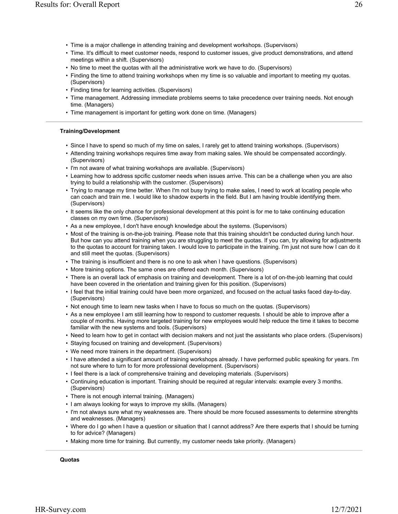- Time is a major challenge in attending training and development workshops. (Supervisors)
- Time. It's difficult to meet customer needs, respond to customer issues, give product demonstrations, and attend meetings within a shift. (Supervisors)
- No time to meet the quotas with all the administrative work we have to do. (Supervisors)
- Finding the time to attend training workshops when my time is so valuable and important to meeting my quotas. (Supervisors)
- Finding time for learning activities. (Supervisors)
- Time management. Addressing immediate problems seems to take precedence over training needs. Not enough time. (Managers)
- Time management is important for getting work done on time. (Managers)

# **Training/Development**

- Since I have to spend so much of my time on sales, I rarely get to attend training workshops. (Supervisors)
- Attending training workshops requires time away from making sales. We should be compensated accordingly. (Supervisors)
- I'm not aware of what training workshops are available. (Supervisors)
- Learning how to address spcific customer needs when issues arrive. This can be a challenge when you are also trying to build a relationship with the customer. (Supervisors)
- Trying to manage my time better. When I'm not busy trying to make sales, I need to work at locating people who can coach and train me. I would like to shadow experts in the field. But I am having trouble identifying them. (Supervisors)
- It seems like the only chance for professional development at this point is for me to take continuing education classes on my own time. (Supervisors)
- As a new employee, I don't have enough knowledge about the systems. (Supervisors)
- Most of the training is on-the-job training. Please note that this training shouldn't be conducted during lunch hour. But how can you attend training when you are struggling to meet the quotas. If you can, try allowing for adjustments to the quotas to account for training taken. I would love to participate in the training. I'm just not sure how I can do it and still meet the quotas. (Supervisors)
- The training is insufficient and there is no one to ask when I have questions. (Supervisors)
- More training options. The same ones are offered each month. (Supervisors)
- There is an overall lack of emphasis on training and development. There is a lot of on-the-job learning that could have been covered in the orientation and training given for this position. (Supervisors)
- I feel that the initial training could have been more organized, and focused on the actual tasks faced day-to-day. (Supervisors)
- Not enough time to learn new tasks when I have to focus so much on the quotas. (Supervisors)
- As a new employee I am still learning how to respond to customer requests. I should be able to improve after a couple of months. Having more targeted training for new employees would help reduce the time it takes to become familiar with the new systems and tools. (Supervisors)
- Need to learn how to get in contact with decision makers and not just the assistants who place orders. (Supervisors)
- Staying focused on training and development. (Supervisors)
- We need more trainers in the department. (Supervisors)
- I have attended a significant amount of training workshops already. I have performed public speaking for years. I'm not sure where to turn to for more professional development. (Supervisors)
- I feel there is a lack of comprehensive training and developing materials. (Supervisors)
- Continuing education is important. Training should be required at regular intervals: example every 3 months. (Supervisors)
- There is not enough internal training. (Managers)
- I am always looking for ways to improve my skills. (Managers)
- I'm not always sure what my weaknesses are. There should be more focused assessments to determine strenghts and weaknesses. (Managers)
- Where do I go when I have a question or situation that I cannot address? Are there experts that I should be turning to for advice? (Managers)
- Making more time for training. But currently, my customer needs take priority. (Managers)

**Quotas**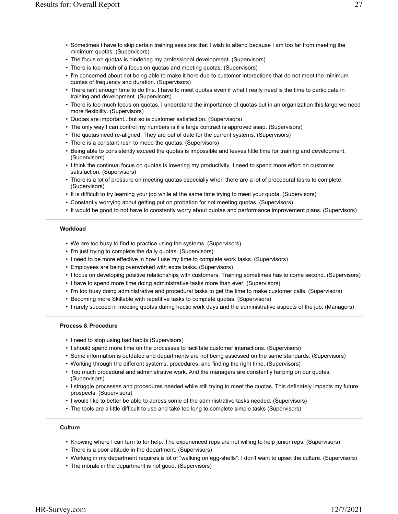- Sometimes I have to skip certain training sessions that I wish to attend because I am too far from meeting the minimum quotas. (Supervisors)
- The focus on quotas is hindering my professional development. (Supervisors)
- There is too much of a focus on quotas and meeting quotas. (Supervisors)
- I'm concerned about not being able to make it here due to customer interactions that do not meet the minimum quotas of frequency and duration. (Supervisors)
- There isn't enough time to do this. I have to meet quotas even if what I really need is the time to participate in training and development. (Supervisors)
- There is too much focus on quotas. I understand the importance of quotas but in an organization this large we need more flexibility. (Supervisors)
- Quotas are important...but so is customer satisfaction. (Supervisors)
- The only way I can control my numbers is if a large contract is approved asap. (Supervisors)
- The quotas need re-aligned. They are out of date for the current systems. (Supervisors)
- There is a constant rush to meed the quotas. (Supervisors)
- Being able to consistently exceed the quotas is impossible and leaves little time for training and development. (Supervisors)
- I think the continual focus on quotas is lowering my productivity. I need to spend more effort on customer satisfaction. (Supervisors)
- There is a lot of pressure on meeting quotas especially when there are a lot of procedural tasks to complete. (Supervisors)
- It is difficult to try learning your job while at the same time trying to meet your quota. (Supervisors)
- Constantly worrying about getting put on probation for not meeting quotas. (Supervisors)
- It would be good to not have to constantly worry about quotas and performance improvement plans. (Supervisors)

# **Workload**

- We are too busy to find to practice using the systems. (Supervisors)
- I'm just trying to complete the daily quotas. (Supervisors)
- I need to be more effective in how I use my time to complete work tasks. (Supervisors)
- Employees are being overworked with extra tasks. (Supervisors)
- I focus on developing positive relationships with customers. Training sometimes has to come second. (Supervisors)
- I have to spend more time doing administrative tasks more than ever. (Supervisors)
- I'm too busy doing administrative and procedural tasks to get the time to make customer calls. (Supervisors)
- Becoming more Skillable with repetitive tasks to complete quotas. (Supervisors)
- I rarely succeed in meeting quotas during hectic work days and the administrative aspects of the job. (Managers)

# **Process & Procedure**

- I need to stop using bad habits (Supervisors)
- I should spend more time on the processes to facilitate customer interactions. (Supervisors)
- Some information is outdated and departments are not being assessed on the same standards. (Supervisors)
- Working through the different systems, procedures, and finding the right time. (Supervisors)
- Too much procedural and administrative work. And the managers are constantly harping on our quotas. (Supervisors)
- I struggle processes and procedures needed while still trying to meet the quotas. This definately impacts my future prospects. (Supervisors)
- I would like to better be able to adress some of the administrative tasks needed. (Supervisors)
- The tools are a little difficult to use and take too long to complete simple tasks (Supervisors)

# **Culture**

- Knowing where I can turn to for help. The experienced reps are not willing to help junior reps. (Supervisors)
- There is a poor attitude in the department. (Supervisors)
- Working in my department requires a lot of "walking on egg-shells". I don't want to upset the culture. (Supervisors)
- The morale in the department is not good. (Supervisors)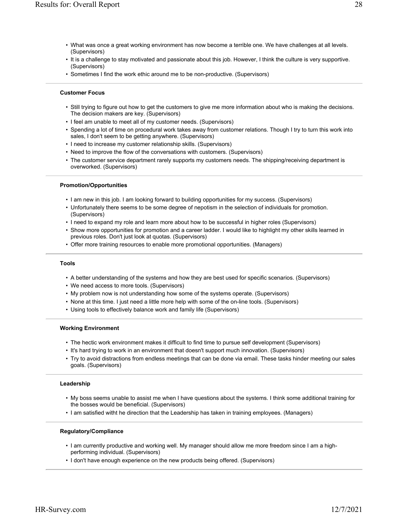- What was once a great working environment has now become a terrible one. We have challenges at all levels. (Supervisors)
- It is a challenge to stay motivated and passionate about this job. However, I think the culture is very supportive. (Supervisors)
- Sometimes I find the work ethic around me to be non-productive. (Supervisors)

#### **Customer Focus**

- Still trying to figure out how to get the customers to give me more information about who is making the decisions. The decision makers are key. (Supervisors)
- I feel am unable to meet all of my customer needs. (Supervisors)
- Spending a lot of time on procedural work takes away from customer relations. Though I try to turn this work into sales, I don't seem to be getting anywhere. (Supervisors)
- I need to increase my customer relationship skills. (Supervisors)
- Need to improve the flow of the conversations with customers. (Supervisors)
- The customer service department rarely supports my customers needs. The shipping/receiving department is overworked. (Supervisors)

#### **Promotion/Opportunities**

- I am new in this job. I am looking forward to building opportunities for my success. (Supervisors)
- Unfortunately there seems to be some degree of nepotism in the selection of individuals for promotion. (Supervisors)
- I need to expand my role and learn more about how to be successful in higher roles (Supervisors)
- Show more opportunities for promotion and a career ladder. I would like to highlight my other skills learned in previous roles. Don't just look at quotas. (Supervisors)
- Offer more training resources to enable more promotional opportunities. (Managers)

#### **Tools**

- A better understanding of the systems and how they are best used for specific scenarios. (Supervisors)
- We need access to more tools. (Supervisors)
- My problem now is not understanding how some of the systems operate. (Supervisors)
- None at this time. I just need a little more help with some of the on-line tools. (Supervisors)
- Using tools to effectively balance work and family life (Supervisors)

### **Working Environment**

- The hectic work environment makes it difficult to find time to pursue self development (Supervisors)
- It's hard trying to work in an environment that doesn't support much innovation. (Supervisors)
- Try to avoid distractions from endless meetings that can be done via email. These tasks hinder meeting our sales goals. (Supervisors)

#### **Leadership**

- My boss seems unable to assist me when I have questions about the systems. I think some additional training for the bosses would be beneficial. (Supervisors)
- I am satisfied witht he direction that the Leadership has taken in training employees. (Managers)

### **Regulatory/Compliance**

- I am currently productive and working well. My manager should allow me more freedom since I am a highperforming individual. (Supervisors)
- I don't have enough experience on the new products being offered. (Supervisors)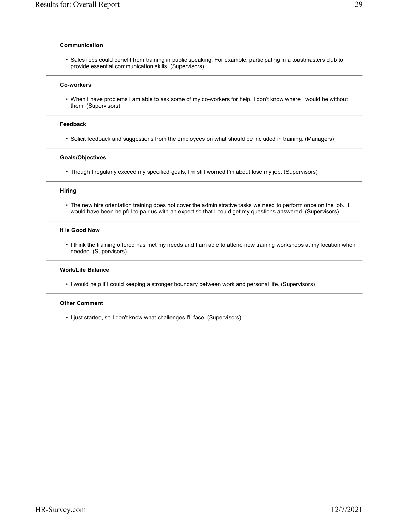#### **Communication**

• Sales reps could benefit from training in public speaking. For example, participating in a toastmasters club to provide essential communication skills. (Supervisors)

#### **Co-workers**

• When I have problems I am able to ask some of my co-workers for help. I don't know where I would be without them. (Supervisors)

### **Feedback**

• Solicit feedback and suggestions from the employees on what should be included in training. (Managers)

#### **Goals/Objectives**

• Though I regularly exceed my specified goals, I'm still worried I'm about lose my job. (Supervisors)

#### **Hiring**

• The new hire orientation training does not cover the administrative tasks we need to perform once on the job. It would have been helpful to pair us with an expert so that I could get my questions answered. (Supervisors)

#### **It is Good Now**

• I think the training offered has met my needs and I am able to attend new training workshops at my location when needed. (Supervisors)

#### **Work/Life Balance**

• I would help if I could keeping a stronger boundary between work and personal life. (Supervisors)

#### **Other Comment**

• I just started, so I don't know what challenges I'll face. (Supervisors)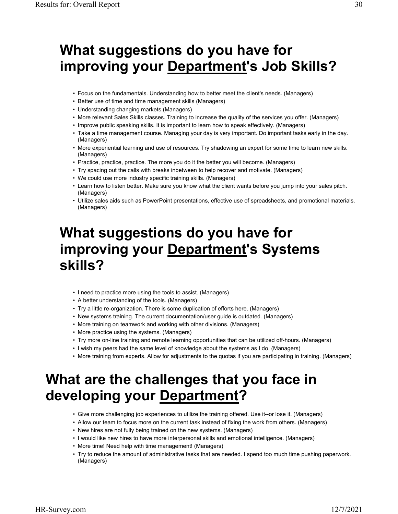# **What suggestions do you have for improving your Department's Job Skills?**

- Focus on the fundamentals. Understanding how to better meet the client's needs. (Managers)
- Better use of time and time management skills (Managers)
- Understanding changing markets (Managers)
- More relevant Sales Skills classes. Training to increase the quality of the services you offer. (Managers)
- Improve public speaking skills. It is important to learn how to speak effectively. (Managers)
- Take a time management course. Managing your day is very important. Do important tasks early in the day. (Managers)
- More experiential learning and use of resources. Try shadowing an expert for some time to learn new skills. (Managers)
- Practice, practice, practice. The more you do it the better you will become. (Managers)
- Try spacing out the calls with breaks inbetween to help recover and motivate. (Managers)
- We could use more industry specific training skills. (Managers)
- Learn how to listen better. Make sure you know what the client wants before you jump into your sales pitch. (Managers)
- Utilize sales aids such as PowerPoint presentations, effective use of spreadsheets, and promotional materials. (Managers)

# **What suggestions do you have for improving your Department's Systems skills?**

- I need to practice more using the tools to assist. (Managers)
- A better understanding of the tools. (Managers)
- Try a little re-organization. There is some duplication of efforts here. (Managers)
- New systems training. The current documentation/user guide is outdated. (Managers)
- More training on teamwork and working with other divisions. (Managers)
- More practice using the systems. (Managers)
- Try more on-line training and remote learning opportunities that can be utilized off-hours. (Managers)
- I wish my peers had the same level of knowledge about the systems as I do. (Managers)
- More training from experts. Allow for adjustments to the quotas if you are participating in training. (Managers)

# **What are the challenges that you face in developing your Department?**

- Give more challenging job experiences to utilize the training offered. Use it--or lose it. (Managers)
- Allow our team to focus more on the current task instead of fixing the work from others. (Managers)
- New hires are not fully being trained on the new systems. (Managers)
- I would like new hires to have more interpersonal skills and emotional intelligence. (Managers)
- More time! Need help with time management! (Managers)
- Try to reduce the amount of administrative tasks that are needed. I spend too much time pushing paperwork. (Managers)